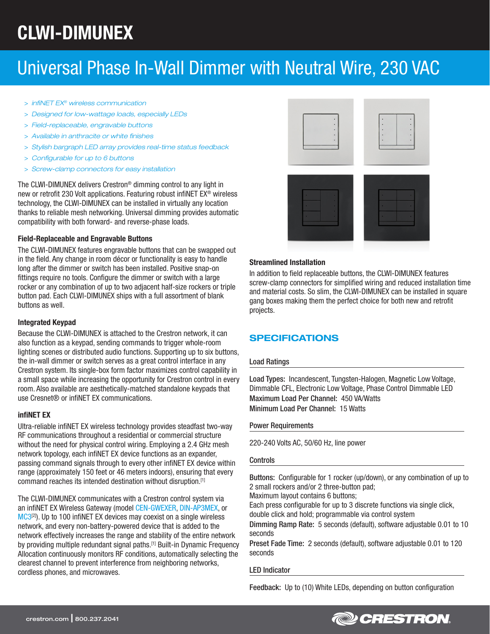# CLWI-DIMUNEX

# Universal Phase In-Wall Dimmer with Neutral Wire, 230 VAC

- > *infiNET EX® wireless communication*
- > *Designed for low-wattage loads, especially LEDs*
- > *Field-replaceable, engravable buttons*
- > *Available in anthracite or white finishes*
- > *Stylish bargraph LED array provides real-time status feedback*
- > *Configurable for up to 6 buttons*
- > *Screw-clamp connectors for easy installation*

The CLWI-DIMUNEX delivers Crestron® dimming control to any light in new or retrofit 230 Volt applications. Featuring robust infiNET EX® wireless technology, the CLWI-DIMUNEX can be installed in virtually any location thanks to reliable mesh networking. Universal dimming provides automatic compatibility with both forward- and reverse-phase loads.

#### Field-Replaceable and Engravable Buttons

The CLWI-DIMUNEX features engravable buttons that can be swapped out in the field. Any change in room décor or functionality is easy to handle long after the dimmer or switch has been installed. Positive snap-on fittings require no tools. Configure the dimmer or switch with a large rocker or any combination of up to two adjacent half-size rockers or triple button pad. Each CLWI-DIMUNEX ships with a full assortment of blank buttons as well.

#### Integrated Keypad

Because the CLWI-DIMUNEX is attached to the Crestron network, it can also function as a keypad, sending commands to trigger whole-room lighting scenes or distributed audio functions. Supporting up to six buttons, the in-wall dimmer or switch serves as a great control interface in any Crestron system. Its single-box form factor maximizes control capability in a small space while increasing the opportunity for Crestron control in every room. Also available are aesthetically-matched standalone keypads that use Cresnet® or infiNET EX communications.

#### infiNET EX

Ultra-reliable infiNET EX wireless technology provides steadfast two-way RF communications throughout a residential or commercial structure without the need for physical control wiring. Employing a 2.4 GHz mesh network topology, each infiNET EX device functions as an expander, passing command signals through to every other infiNET EX device within range (approximately 150 feet or 46 meters indoors), ensuring that every command reaches its intended destination without disruption.[1]

The CLWI-DIMUNEX communicates with a Crestron control system via an infiNET EX Wireless Gateway (model [CEN-GWEXER](http://www.crestron.com/products/model/CEN-GWEXER), [DIN-AP3MEX](http://www.crestron.com/resources/product_and_programming_resources/catalogs_and_brochures/online_catalog/default.asp?jump=1&model=DIN-AP3MEX), or [MC3](http://www.crestron.com/resources/product_and_programming_resources/catalogs_and_brochures/online_catalog/default.asp?jump=1&model=MC3)<sup>[2]</sup>). Up to 100 infiNET EX devices may coexist on a single wireless network, and every non-battery-powered device that is added to the network effectively increases the range and stability of the entire network by providing multiple redundant signal paths.<sup>[1]</sup> Built-in Dynamic Frequency Allocation continuously monitors RF conditions, automatically selecting the clearest channel to prevent interference from neighboring networks, cordless phones, and microwaves.





#### Streamlined Installation

In addition to field replaceable buttons, the CLWI-DIMUNEX features screw-clamp connectors for simplified wiring and reduced installation time and material costs. So slim, the CLWI-DIMUNEX can be installed in square gang boxes making them the perfect choice for both new and retrofit projects.

### SPECIFICATIONS

#### Load Ratings

Load Types: Incandescent, Tungsten-Halogen, Magnetic Low Voltage, Dimmable CFL, Electronic Low Voltage, Phase Control Dimmable LED Maximum Load Per Channel: 450 VA/Watts Minimum Load Per Channel: 15 Watts

#### Power Requirements

220-240 Volts AC, 50/60 Hz, line power

#### **Controls**

Buttons: Configurable for 1 rocker (up/down), or any combination of up to 2 small rockers and/or 2 three-button pad;

Maximum layout contains 6 buttons;

Each press configurable for up to 3 discrete functions via single click, double click and hold; programmable via control system

Dimming Ramp Rate: 5 seconds (default), software adjustable 0.01 to 10 seconds

Preset Fade Time: 2 seconds (default), software adjustable 0.01 to 120 seconds

#### LED Indicator

Feedback: Up to (10) White LEDs, depending on button configuration